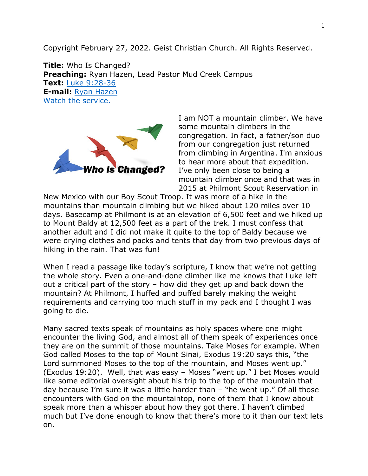Copyright February 27, 2022. Geist Christian Church. All Rights Reserved.

**Title:** Who Is Changed? **Preaching:** Ryan Hazen, Lead Pastor Mud Creek Campus **Text:** [Luke 9:28-36](https://www.biblegateway.com/passage/?search=Luke+9%3A28-36&version=NRSV) **E-mail:** [Ryan Hazen](mailto:ryan.hazen@geistchristian.org) [Watch the service.](https://youtu.be/GRWstjL_r6Y)



I am NOT a mountain climber. We have some mountain climbers in the congregation. In fact, a father/son duo from our congregation just returned from climbing in Argentina. I'm anxious to hear more about that expedition. I've only been close to being a mountain climber once and that was in 2015 at Philmont Scout Reservation in

New Mexico with our Boy Scout Troop. It was more of a hike in the mountains than mountain climbing but we hiked about 120 miles over 10 days. Basecamp at Philmont is at an elevation of 6,500 feet and we hiked up to Mount Baldy at 12,500 feet as a part of the trek. I must confess that another adult and I did not make it quite to the top of Baldy because we were drying clothes and packs and tents that day from two previous days of hiking in the rain. That was fun!

When I read a passage like today's scripture, I know that we're not getting the whole story. Even a one-and-done climber like me knows that Luke left out a critical part of the story – how did they get up and back down the mountain? At Philmont, I huffed and puffed barely making the weight requirements and carrying too much stuff in my pack and I thought I was going to die.

Many sacred texts speak of mountains as holy spaces where one might encounter the living God, and almost all of them speak of experiences once they are on the summit of those mountains. Take Moses for example. When God called Moses to the top of Mount Sinai, Exodus 19:20 says this, "the Lord summoned Moses to the top of the mountain, and Moses went up." (Exodus 19:20). Well, that was easy – Moses "went up." I bet Moses would like some editorial oversight about his trip to the top of the mountain that day because I'm sure it was a little harder than – "he went up." Of all those encounters with God on the mountaintop, none of them that I know about speak more than a whisper about how they got there. I haven't climbed much but I've done enough to know that there's more to it than our text lets on.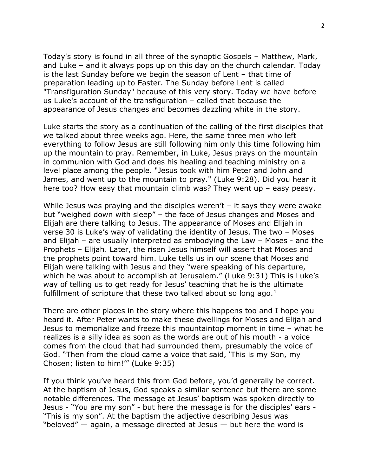Today's story is found in all three of the synoptic Gospels – Matthew, Mark, and Luke – and it always pops up on this day on the church calendar. Today is the last Sunday before we begin the season of Lent – that time of preparation leading up to Easter. The Sunday before Lent is called "Transfiguration Sunday" because of this very story. Today we have before us Luke's account of the transfiguration – called that because the appearance of Jesus changes and becomes dazzling white in the story.

Luke starts the story as a continuation of the calling of the first disciples that we talked about three weeks ago. Here, the same three men who left everything to follow Jesus are still following him only this time following him up the mountain to pray. Remember, in Luke, Jesus prays on the mountain in communion with God and does his healing and teaching ministry on a level place among the people. "Jesus took with him Peter and John and James, and went up to the mountain to pray." (Luke 9:28). Did you hear it here too? How easy that mountain climb was? They went up – easy peasy.

While Jesus was praying and the disciples weren't  $-$  it says they were awake but "weighed down with sleep" – the face of Jesus changes and Moses and Elijah are there talking to Jesus. The appearance of Moses and Elijah in verse 30 is Luke's way of validating the identity of Jesus. The two – Moses and Elijah – are usually interpreted as embodying the Law – Moses - and the Prophets – Elijah. Later, the risen Jesus himself will assert that Moses and the prophets point toward him. Luke tells us in our scene that Moses and Elijah were talking with Jesus and they "were speaking of his departure, which he was about to accomplish at Jerusalem." (Luke 9:31) This is Luke's way of telling us to get ready for Jesus' teaching that he is the ultimate fulfillment of scripture that these two talked about so long ago. $<sup>1</sup>$  $<sup>1</sup>$  $<sup>1</sup>$ </sup>

There are other places in the story where this happens too and I hope you heard it. After Peter wants to make these dwellings for Moses and Elijah and Jesus to memorialize and freeze this mountaintop moment in time – what he realizes is a silly idea as soon as the words are out of his mouth - a voice comes from the cloud that had surrounded them, presumably the voice of God. "Then from the cloud came a voice that said, 'This is my Son, my Chosen; listen to him!'" (Luke 9:35)

If you think you've heard this from God before, you'd generally be correct. At the baptism of Jesus, God speaks a similar sentence but there are some notable differences. The message at Jesus' baptism was spoken directly to Jesus - "You are my son" - but here the message is for the disciples' ears - "This is my son". At the baptism the adjective describing Jesus was "beloved"  $-$  again, a message directed at Jesus  $-$  but here the word is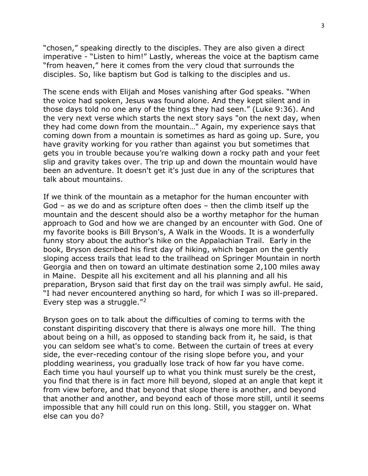"chosen," speaking directly to the disciples. They are also given a direct imperative - "Listen to him!" Lastly, whereas the voice at the baptism came "from heaven," here it comes from the very cloud that surrounds the disciples. So, like baptism but God is talking to the disciples and us.

The scene ends with Elijah and Moses vanishing after God speaks. "When the voice had spoken, Jesus was found alone. And they kept silent and in those days told no one any of the things they had seen." (Luke 9:36). And the very next verse which starts the next story says "on the next day, when they had come down from the mountain…" Again, my experience says that coming down from a mountain is sometimes as hard as going up. Sure, you have gravity working for you rather than against you but sometimes that gets you in trouble because you're walking down a rocky path and your feet slip and gravity takes over. The trip up and down the mountain would have been an adventure. It doesn't get it's just due in any of the scriptures that talk about mountains.

If we think of the mountain as a metaphor for the human encounter with God – as we do and as scripture often does – then the climb itself up the mountain and the descent should also be a worthy metaphor for the human approach to God and how we are changed by an encounter with God. One of my favorite books is Bill Bryson's, A Walk in the Woods. It is a wonderfully funny story about the author's hike on the Appalachian Trail. Early in the book, Bryson described his first day of hiking, which began on the gently sloping access trails that lead to the trailhead on Springer Mountain in north Georgia and then on toward an ultimate destination some 2,100 miles away in Maine. Despite all his excitement and all his planning and all his preparation, Bryson said that first day on the trail was simply awful. He said, "I had never encountered anything so hard, for which I was so ill-prepared. Every step was a struggle."[2](#page-4-1)

Bryson goes on to talk about the difficulties of coming to terms with the constant dispiriting discovery that there is always one more hill. The thing about being on a hill, as opposed to standing back from it, he said, is that you can seldom see what's to come. Between the curtain of trees at every side, the ever-receding contour of the rising slope before you, and your plodding weariness, you gradually lose track of how far you have come. Each time you haul yourself up to what you think must surely be the crest, you find that there is in fact more hill beyond, sloped at an angle that kept it from view before, and that beyond that slope there is another, and beyond that another and another, and beyond each of those more still, until it seems impossible that any hill could run on this long. Still, you stagger on. What else can you do?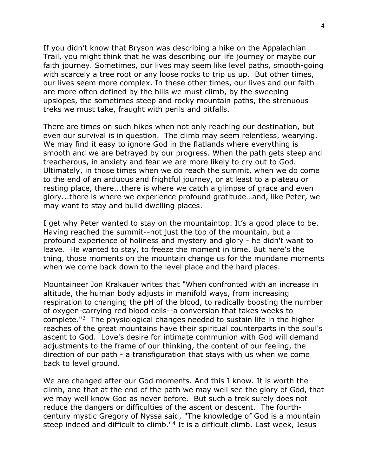If you didn't know that Bryson was describing a hike on the Appalachian Trail, you might think that he was describing our life journey or maybe our faith journey. Sometimes, our lives may seem like level paths, smooth-going with scarcely a tree root or any loose rocks to trip us up. But other times, our lives seem more complex. In these other times, our lives and our faith are more often defined by the hills we must climb, by the sweeping upslopes, the sometimes steep and rocky mountain paths, the strenuous treks we must take, fraught with perils and pitfalls.

There are times on such hikes when not only reaching our destination, but even our survival is in question. The climb may seem relentless, wearying. We may find it easy to ignore God in the flatlands where everything is smooth and we are betrayed by our progress. When the path gets steep and treacherous, in anxiety and fear we are more likely to cry out to God. Ultimately, in those times when we do reach the summit, when we do come to the end of an arduous and frightful journey, or at least to a plateau or resting place, there...there is where we catch a glimpse of grace and even glory...there is where we experience profound gratitude…and, like Peter, we may want to stay and build dwelling places.

I get why Peter wanted to stay on the mountaintop. It's a good place to be. Having reached the summit--not just the top of the mountain, but a profound experience of holiness and mystery and glory - he didn't want to leave. He wanted to stay, to freeze the moment in time. But here's the thing, those moments on the mountain change us for the mundane moments when we come back down to the level place and the hard places.

Mountaineer Jon Krakauer writes that "When confronted with an increase in altitude, the human body adjusts in manifold ways, from increasing respiration to changing the pH of the blood, to radically boosting the number of oxygen-carrying red blood cells--a conversion that takes weeks to complete."[3](#page-4-2) The physiological changes needed to sustain life in the higher reaches of the great mountains have their spiritual counterparts in the soul's ascent to God. Love's desire for intimate communion with God will demand adjustments to the frame of our thinking, the content of our feeling, the direction of our path - a transfiguration that stays with us when we come back to level ground.

We are changed after our God moments. And this I know. It is worth the climb, and that at the end of the path we may well see the glory of God, that we may well know God as never before. But such a trek surely does not reduce the dangers or difficulties of the ascent or descent. The fourthcentury mystic Gregory of Nyssa said, "The knowledge of God is a mountain steep indeed and difficult to climb."<sup>[4](#page-4-3)</sup> It is a difficult climb. Last week, Jesus